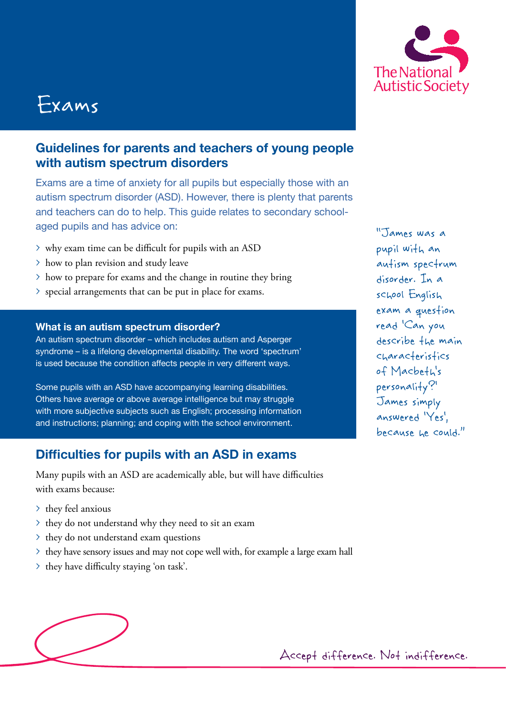# Exams

# **Guidelines for parents and teachers of young people with autism spectrum disorders**

Exams are a time of anxiety for all pupils but especially those with an autism spectrum disorder (ASD). However, there is plenty that parents and teachers can do to help. This guide relates to secondary schoolaged pupils and has advice on:

- > why exam time can be difficult for pupils with an ASD
- > how to plan revision and study leave
- > how to prepare for exams and the change in routine they bring
- > special arrangements that can be put in place for exams.

### **What is an autism spectrum disorder?**

An autism spectrum disorder – which includes autism and Asperger syndrome – is a lifelong developmental disability. The word 'spectrum' is used because the condition affects people in very different ways.

Some pupils with an ASD have accompanying learning disabilities. Others have average or above average intelligence but may struggle with more subjective subjects such as English; processing information and instructions; planning; and coping with the school environment.

# **Difficulties for pupils with an ASD in exams**

Many pupils with an ASD are academically able, but will have difficulties with exams because:

- > they feel anxious
- > they do not understand why they need to sit an exam
- > they do not understand exam questions
- > they have sensory issues and may not cope well with, for example a large exam hall
- > they have difficulty staying 'on task'.





"James was a pupil with an autism spectrum disorder. In a school English exam a question read 'Can you describe the main characteristics of Macbeth's personality?' James simply answered 'Yes', because he could."

Accept difference. Not indifference.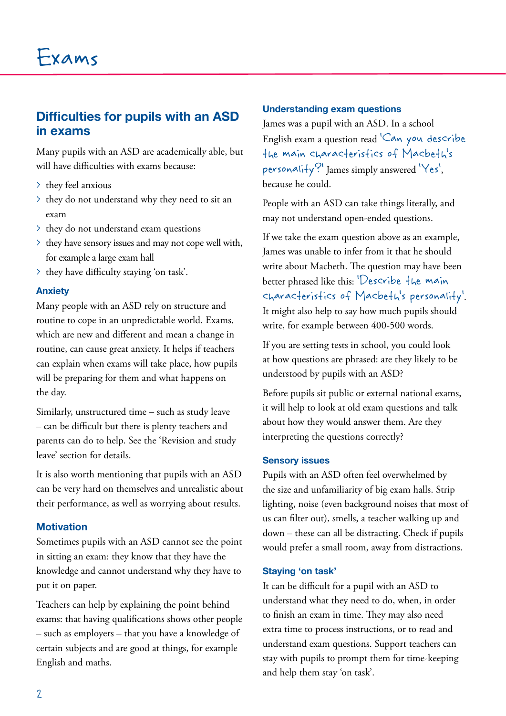# **Difficulties for pupils with an ASD in exams**

Many pupils with an ASD are academically able, but will have difficulties with exams because:

- > they feel anxious
- > they do not understand why they need to sit an exam
- > they do not understand exam questions
- > they have sensory issues and may not cope well with, for example a large exam hall
- > they have difficulty staying 'on task'.

### **Anxiety**

Many people with an ASD rely on structure and routine to cope in an unpredictable world. Exams, which are new and different and mean a change in routine, can cause great anxiety. It helps if teachers can explain when exams will take place, how pupils will be preparing for them and what happens on the day.

Similarly, unstructured time – such as study leave – can be difficult but there is plenty teachers and parents can do to help. See the 'Revision and study leave' section for details.

It is also worth mentioning that pupils with an ASD can be very hard on themselves and unrealistic about their performance, as well as worrying about results.

### **Motivation**

Sometimes pupils with an ASD cannot see the point in sitting an exam: they know that they have the knowledge and cannot understand why they have to put it on paper.

Teachers can help by explaining the point behind exams: that having qualifications shows other people – such as employers – that you have a knowledge of certain subjects and are good at things, for example English and maths.

#### **Understanding exam questions**

James was a pupil with an ASD. In a school English exam a question read 'Can you describe the main characteristics of Macbeth's personality?' James simply answered 'Yes', because he could.

People with an ASD can take things literally, and may not understand open-ended questions.

If we take the exam question above as an example, James was unable to infer from it that he should write about Macbeth. The question may have been better phrased like this: 'Describe the main characteristics of Macbeth's personality'. It might also help to say how much pupils should write, for example between 400-500 words.

If you are setting tests in school, you could look at how questions are phrased: are they likely to be understood by pupils with an ASD?

Before pupils sit public or external national exams, it will help to look at old exam questions and talk about how they would answer them. Are they interpreting the questions correctly?

### **Sensory issues**

Pupils with an ASD often feel overwhelmed by the size and unfamiliarity of big exam halls. Strip lighting, noise (even background noises that most of us can filter out), smells, a teacher walking up and down – these can all be distracting. Check if pupils would prefer a small room, away from distractions.

### **Staying 'on task'**

It can be difficult for a pupil with an ASD to understand what they need to do, when, in order to finish an exam in time. They may also need extra time to process instructions, or to read and understand exam questions. Support teachers can stay with pupils to prompt them for time-keeping and help them stay 'on task'.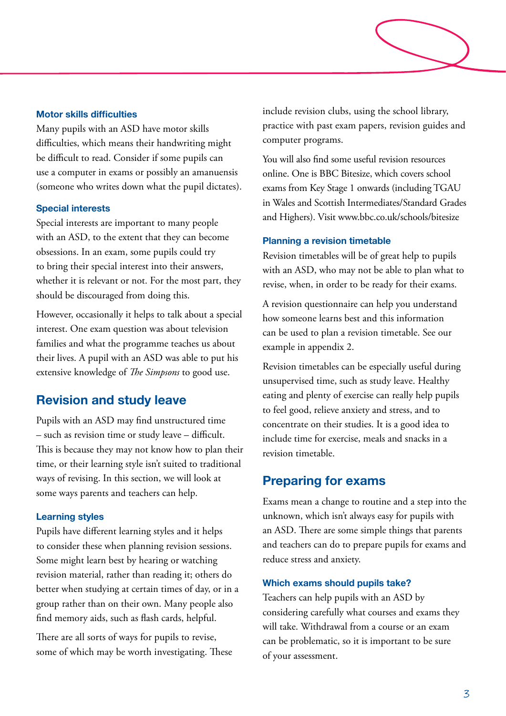### **Motor skills difficulties**

Many pupils with an ASD have motor skills difficulties, which means their handwriting might be difficult to read. Consider if some pupils can use a computer in exams or possibly an amanuensis (someone who writes down what the pupil dictates).

#### **Special interests**

Special interests are important to many people with an ASD, to the extent that they can become obsessions. In an exam, some pupils could try to bring their special interest into their answers, whether it is relevant or not. For the most part, they should be discouraged from doing this.

However, occasionally it helps to talk about a special interest. One exam question was about television families and what the programme teaches us about their lives. A pupil with an ASD was able to put his extensive knowledge of *The Simpsons* to good use.

### **Revision and study leave**

Pupils with an ASD may find unstructured time – such as revision time or study leave – difficult. This is because they may not know how to plan their time, or their learning style isn't suited to traditional ways of revising. In this section, we will look at some ways parents and teachers can help.

#### **Learning styles**

Pupils have different learning styles and it helps to consider these when planning revision sessions. Some might learn best by hearing or watching revision material, rather than reading it; others do better when studying at certain times of day, or in a group rather than on their own. Many people also find memory aids, such as flash cards, helpful.

There are all sorts of ways for pupils to revise, some of which may be worth investigating. These include revision clubs, using the school library, practice with past exam papers, revision guides and computer programs.

You will also find some useful revision resources online. One is BBC Bitesize, which covers school exams from Key Stage 1 onwards (including TGAU in Wales and Scottish Intermediates/Standard Grades and Highers). Visit www.bbc.co.uk/schools/bitesize

#### **Planning a revision timetable**

Revision timetables will be of great help to pupils with an ASD, who may not be able to plan what to revise, when, in order to be ready for their exams.

A revision questionnaire can help you understand how someone learns best and this information can be used to plan a revision timetable. See our example in appendix 2.

Revision timetables can be especially useful during unsupervised time, such as study leave. Healthy eating and plenty of exercise can really help pupils to feel good, relieve anxiety and stress, and to concentrate on their studies. It is a good idea to include time for exercise, meals and snacks in a revision timetable.

### **Preparing for exams**

Exams mean a change to routine and a step into the unknown, which isn't always easy for pupils with an ASD. There are some simple things that parents and teachers can do to prepare pupils for exams and reduce stress and anxiety.

#### **Which exams should pupils take?**

Teachers can help pupils with an ASD by considering carefully what courses and exams they will take. Withdrawal from a course or an exam can be problematic, so it is important to be sure of your assessment.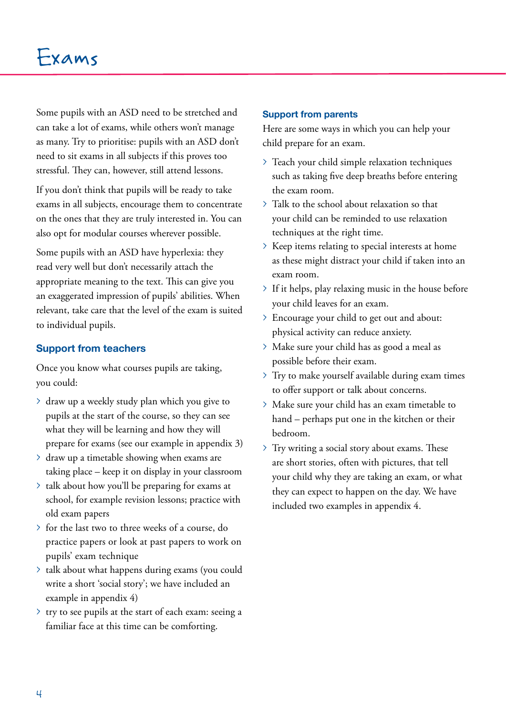Some pupils with an ASD need to be stretched and can take a lot of exams, while others won't manage as many. Try to prioritise: pupils with an ASD don't need to sit exams in all subjects if this proves too stressful. They can, however, still attend lessons.

If you don't think that pupils will be ready to take exams in all subjects, encourage them to concentrate on the ones that they are truly interested in. You can also opt for modular courses wherever possible.

Some pupils with an ASD have hyperlexia: they read very well but don't necessarily attach the appropriate meaning to the text. This can give you an exaggerated impression of pupils' abilities. When relevant, take care that the level of the exam is suited to individual pupils.

### **Support from teachers**

Once you know what courses pupils are taking, you could:

- > draw up a weekly study plan which you give to pupils at the start of the course, so they can see what they will be learning and how they will prepare for exams (see our example in appendix 3)
- > draw up a timetable showing when exams are taking place – keep it on display in your classroom
- > talk about how you'll be preparing for exams at school, for example revision lessons; practice with old exam papers
- > for the last two to three weeks of a course, do practice papers or look at past papers to work on pupils' exam technique
- > talk about what happens during exams (you could write a short 'social story'; we have included an example in appendix 4)
- > try to see pupils at the start of each exam: seeing a familiar face at this time can be comforting.

### **Support from parents**

Here are some ways in which you can help your child prepare for an exam.

- > Teach your child simple relaxation techniques such as taking five deep breaths before entering the exam room.
- > Talk to the school about relaxation so that your child can be reminded to use relaxation techniques at the right time.
- > Keep items relating to special interests at home as these might distract your child if taken into an exam room.
- > If it helps, play relaxing music in the house before your child leaves for an exam.
- > Encourage your child to get out and about: physical activity can reduce anxiety.
- > Make sure your child has as good a meal as possible before their exam.
- > Try to make yourself available during exam times to offer support or talk about concerns.
- > Make sure your child has an exam timetable to hand – perhaps put one in the kitchen or their bedroom.
- > Try writing a social story about exams. These are short stories, often with pictures, that tell your child why they are taking an exam, or what they can expect to happen on the day. We have included two examples in appendix 4.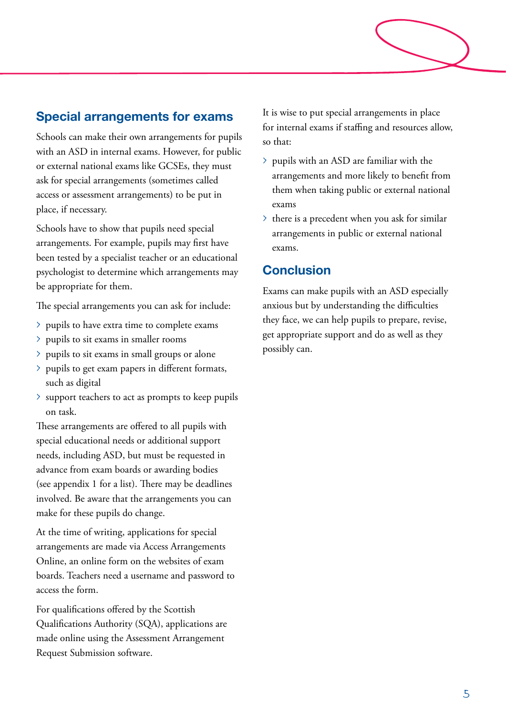# **Special arrangements for exams**

Schools can make their own arrangements for pupils with an ASD in internal exams. However, for public or external national exams like GCSEs, they must ask for special arrangements (sometimes called access or assessment arrangements) to be put in place, if necessary.

Schools have to show that pupils need special arrangements. For example, pupils may first have been tested by a specialist teacher or an educational psychologist to determine which arrangements may be appropriate for them.

The special arrangements you can ask for include:

- > pupils to have extra time to complete exams
- > pupils to sit exams in smaller rooms
- > pupils to sit exams in small groups or alone
- > pupils to get exam papers in different formats, such as digital
- > support teachers to act as prompts to keep pupils on task.

These arrangements are offered to all pupils with special educational needs or additional support needs, including ASD, but must be requested in advance from exam boards or awarding bodies (see appendix 1 for a list). There may be deadlines involved. Be aware that the arrangements you can make for these pupils do change.

At the time of writing, applications for special arrangements are made via Access Arrangements Online, an online form on the websites of exam boards. Teachers need a username and password to access the form.

For qualifications offered by the Scottish Qualifications Authority (SQA), applications are made online using the Assessment Arrangement Request Submission software.

It is wise to put special arrangements in place for internal exams if staffing and resources allow, so that:

- > pupils with an ASD are familiar with the arrangements and more likely to benefit from them when taking public or external national exams
- > there is a precedent when you ask for similar arrangements in public or external national exams.

# **Conclusion**

Exams can make pupils with an ASD especially anxious but by understanding the difficulties they face, we can help pupils to prepare, revise, get appropriate support and do as well as they possibly can.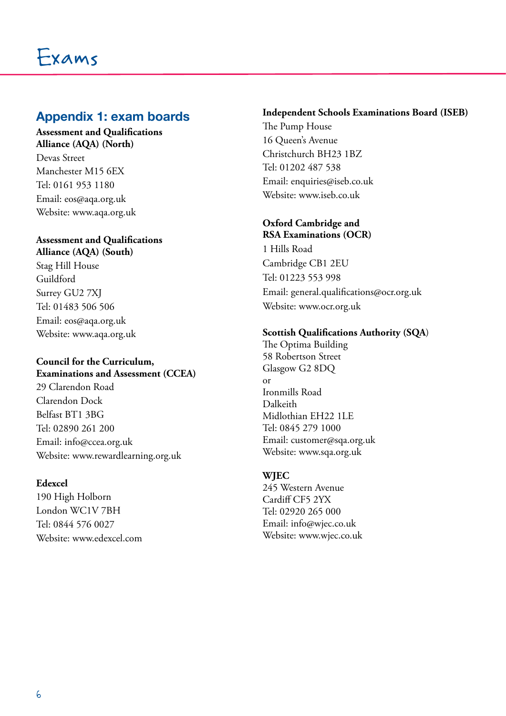# **Appendix 1: exam boards**

### **Assessment and Qualifications Alliance (AQA) (North)**

Devas Street Manchester M15 6EX Tel: 0161 953 1180 Email: eos@aqa.org.uk Website: www.aqa.org.uk

# **Assessment and Qualifications**

**Alliance (AQA) (South)** Stag Hill House Guildford Surrey GU2 7XJ Tel: 01483 506 506 Email: eos@aqa.org.uk Website: www.aqa.org.uk

### **Council for the Curriculum, Examinations and Assessment (CCEA)**

29 Clarendon Road Clarendon Dock Belfast BT1 3BG Tel: 02890 261 200 Email: info@ccea.org.uk Website: www.rewardlearning.org.uk

## **Edexcel**

190 High Holborn London WC1V 7BH Tel: 0844 576 0027 Website: www.edexcel.com

### **Independent Schools Examinations Board (ISEB)**

The Pump House 16 Queen's Avenue Christchurch BH23 1BZ Tel: 01202 487 538 Email: enquiries@iseb.co.uk Website: www.iseb.co.uk

### **Oxford Cambridge and RSA Examinations (OCR)**

1 Hills Road Cambridge CB1 2EU Tel: 01223 553 998 Email: general.qualifications@ocr.org.uk Website: www.ocr.org.uk

### **Scottish Qualifications Authority (SQA**)

The Optima Building 58 Robertson Street Glasgow G2 8DQ or Ironmills Road Dalkeith Midlothian EH22 1LE Tel: 0845 279 1000 Email: customer@sqa.org.uk Website: www.sqa.org.uk

### **WJEC**

245 Western Avenue Cardiff CF5 2YX Tel: 02920 265 000 Email: info@wjec.co.uk Website: www.wjec.co.uk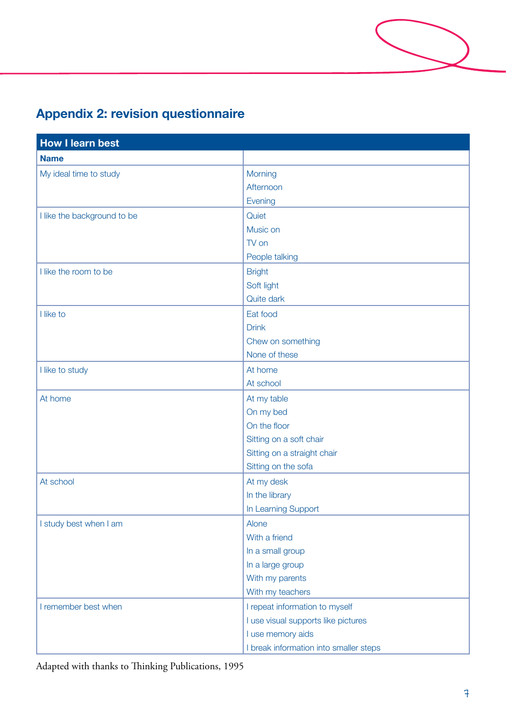# **Appendix 2: revision questionnaire**

| <b>How I learn best</b>     |                                        |  |
|-----------------------------|----------------------------------------|--|
| <b>Name</b>                 |                                        |  |
| My ideal time to study      | Morning                                |  |
|                             | Afternoon                              |  |
|                             | Evening                                |  |
| I like the background to be | Quiet                                  |  |
|                             | Music on                               |  |
|                             | TV on                                  |  |
|                             | People talking                         |  |
| I like the room to be       | <b>Bright</b>                          |  |
|                             | Soft light                             |  |
|                             | Quite dark                             |  |
| I like to                   | Eat food                               |  |
|                             | <b>Drink</b>                           |  |
|                             | Chew on something                      |  |
|                             | None of these                          |  |
| I like to study             | At home                                |  |
|                             | At school                              |  |
| At home                     | At my table                            |  |
|                             | On my bed                              |  |
|                             | On the floor                           |  |
|                             | Sitting on a soft chair                |  |
|                             | Sitting on a straight chair            |  |
|                             | Sitting on the sofa                    |  |
| At school                   | At my desk                             |  |
|                             | In the library                         |  |
|                             | In Learning Support                    |  |
| I study best when I am      | Alone                                  |  |
|                             | With a friend                          |  |
|                             | In a small group                       |  |
|                             | In a large group                       |  |
|                             | With my parents                        |  |
|                             | With my teachers                       |  |
| I remember best when        | I repeat information to myself         |  |
|                             | I use visual supports like pictures    |  |
|                             | I use memory aids                      |  |
|                             | I break information into smaller steps |  |

Adapted with thanks to Thinking Publications, 1995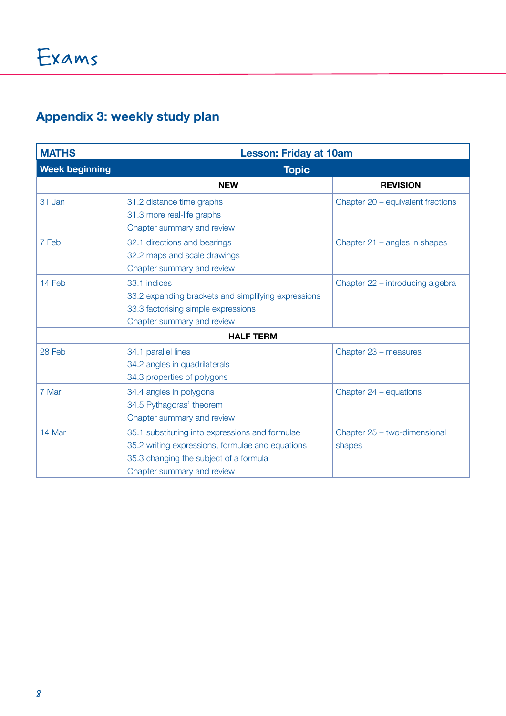# **Appendix 3: weekly study plan**

| <b>MATHS</b>          | <b>Lesson: Friday at 10am</b>                                                                                                                                               |                                        |
|-----------------------|-----------------------------------------------------------------------------------------------------------------------------------------------------------------------------|----------------------------------------|
| <b>Week beginning</b> | <b>Topic</b>                                                                                                                                                                |                                        |
|                       | <b>NEW</b>                                                                                                                                                                  | <b>REVISION</b>                        |
| 31 Jan                | 31.2 distance time graphs<br>31.3 more real-life graphs<br>Chapter summary and review                                                                                       | Chapter 20 - equivalent fractions      |
| 7 Feb                 | 32.1 directions and bearings<br>32.2 maps and scale drawings<br>Chapter summary and review                                                                                  | Chapter $21$ – angles in shapes        |
| 14 Feb                | 33.1 indices<br>33.2 expanding brackets and simplifying expressions<br>33.3 factorising simple expressions<br>Chapter summary and review                                    | Chapter 22 - introducing algebra       |
| <b>HALF TERM</b>      |                                                                                                                                                                             |                                        |
| 28 Feb                | 34.1 parallel lines<br>34.2 angles in quadrilaterals<br>34.3 properties of polygons                                                                                         | Chapter 23 - measures                  |
| 7 Mar                 | 34.4 angles in polygons<br>34.5 Pythagoras' theorem<br>Chapter summary and review                                                                                           | Chapter 24 - equations                 |
| 14 Mar                | 35.1 substituting into expressions and formulae<br>35.2 writing expressions, formulae and equations<br>35.3 changing the subject of a formula<br>Chapter summary and review | Chapter 25 - two-dimensional<br>shapes |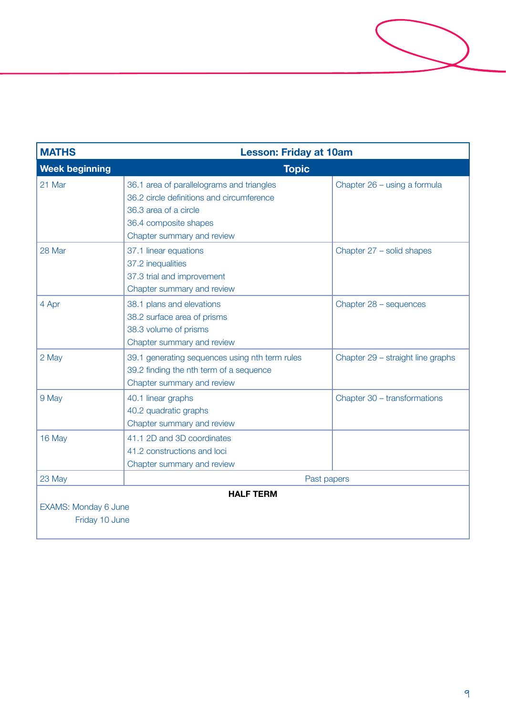

| <b>MATHS</b>                                               | <b>Lesson: Friday at 10am</b>                                                                                                                                          |                                   |  |
|------------------------------------------------------------|------------------------------------------------------------------------------------------------------------------------------------------------------------------------|-----------------------------------|--|
| <b>Week beginning</b>                                      | <b>Topic</b>                                                                                                                                                           |                                   |  |
| 21 Mar                                                     | 36.1 area of parallelograms and triangles<br>36.2 circle definitions and circumference<br>36.3 area of a circle<br>36.4 composite shapes<br>Chapter summary and review | Chapter 26 - using a formula      |  |
| 28 Mar                                                     | 37.1 linear equations<br>37.2 inequalities<br>37.3 trial and improvement<br>Chapter summary and review                                                                 | Chapter 27 - solid shapes         |  |
| 4 Apr                                                      | 38.1 plans and elevations<br>38.2 surface area of prisms<br>38.3 volume of prisms<br>Chapter summary and review                                                        | Chapter 28 - sequences            |  |
| 2 May                                                      | 39.1 generating sequences using nth term rules<br>39.2 finding the nth term of a sequence<br>Chapter summary and review                                                | Chapter 29 - straight line graphs |  |
| 9 May                                                      | 40.1 linear graphs<br>40.2 quadratic graphs<br>Chapter summary and review                                                                                              | Chapter 30 - transformations      |  |
| 16 May                                                     | 41.1 2D and 3D coordinates<br>41.2 constructions and loci<br>Chapter summary and review                                                                                |                                   |  |
| 23 May                                                     | Past papers                                                                                                                                                            |                                   |  |
| <b>HALF TERM</b><br>EXAMS: Monday 6 June<br>Friday 10 June |                                                                                                                                                                        |                                   |  |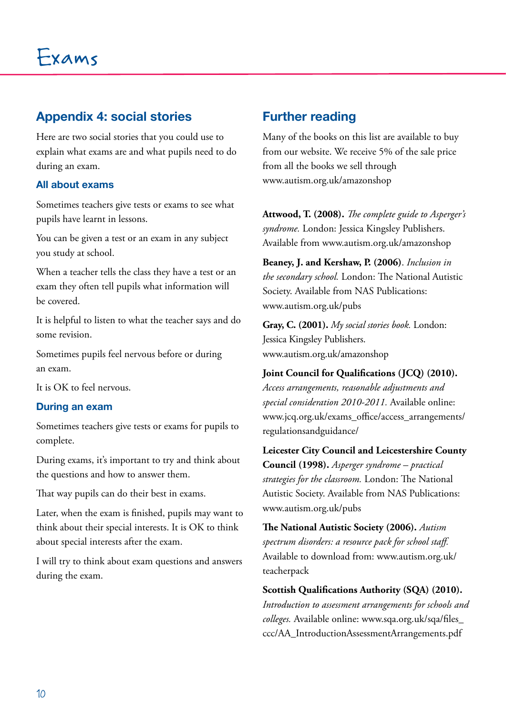# **Appendix 4: social stories**

Here are two social stories that you could use to explain what exams are and what pupils need to do during an exam.

### **All about exams**

Sometimes teachers give tests or exams to see what pupils have learnt in lessons.

You can be given a test or an exam in any subject you study at school.

When a teacher tells the class they have a test or an exam they often tell pupils what information will be covered.

It is helpful to listen to what the teacher says and do some revision.

Sometimes pupils feel nervous before or during an exam.

It is OK to feel nervous.

### **During an exam**

Sometimes teachers give tests or exams for pupils to complete.

During exams, it's important to try and think about the questions and how to answer them.

That way pupils can do their best in exams.

Later, when the exam is finished, pupils may want to think about their special interests. It is OK to think about special interests after the exam.

I will try to think about exam questions and answers during the exam.

# **Further reading**

Many of the books on this list are available to buy from our website. We receive 5% of the sale price from all the books we sell through www.autism.org.uk/amazonshop

**Attwood, T. (2008).** *The complete guide to Asperger's syndrome.* London: Jessica Kingsley Publishers. Available from www.autism.org.uk/amazonshop

**Beaney, J. and Kershaw, P. (2006)**. *Inclusion in the secondary school.* London: The National Autistic Society. Available from NAS Publications: www.autism.org.uk/pubs

**Gray, C. (2001).** *My social stories book.* London: Jessica Kingsley Publishers. www.autism.org.uk/amazonshop

**Joint Council for Qualifications (JCQ) (2010).** *Access arrangements, reasonable adjustments and special consideration 2010-2011.* Available online: www.jcq.org.uk/exams\_office/access\_arrangements/ regulationsandguidance/

**Leicester City Council and Leicestershire County Council (1998).** *Asperger syndrome – practical strategies for the classroom.* London: The National Autistic Society. Available from NAS Publications: www.autism.org.uk/pubs

**The National Autistic Society (2006).** *Autism spectrum disorders: a resource pack for school staff.* Available to download from: www.autism.org.uk/ teacherpack

**Scottish Qualifications Authority (SQA) (2010).** *Introduction to assessment arrangements for schools and colleges.* Available online: www.sqa.org.uk/sqa/files\_ ccc/AA\_IntroductionAssessmentArrangements.pdf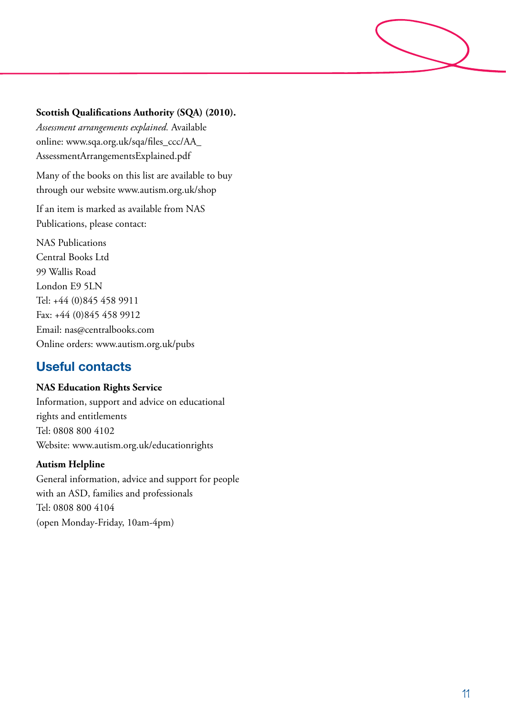### **Scottish Qualifications Authority (SQA) (2010).**

*Assessment arrangements explained.* Available online: www.sqa.org.uk/sqa/files\_ccc/AA\_ AssessmentArrangementsExplained.pdf

Many of the books on this list are available to buy through our website www.autism.org.uk/shop

If an item is marked as available from NAS Publications, please contact:

NAS Publications Central Books Ltd 99 Wallis Road London E9 5LN Tel: +44 (0)845 458 9911 Fax: +44 (0)845 458 9912 Email: nas@centralbooks.com Online orders: www.autism.org.uk/pubs

# **Useful contacts**

### **NAS Education Rights Service**

Information, support and advice on educational rights and entitlements Tel: 0808 800 4102 Website: www.autism.org.uk/educationrights

### **Autism Helpline**

General information, advice and support for people with an ASD, families and professionals Tel: 0808 800 4104 (open Monday-Friday, 10am-4pm)